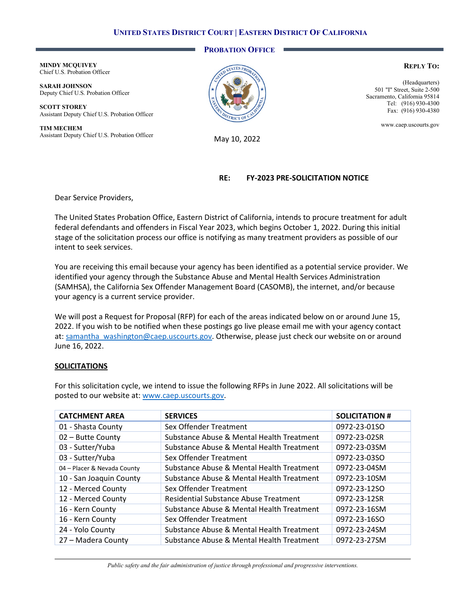# **UNITED STATES DISTRICT COURT | EASTERN DISTRICT OF CALIFORNIA**

### **PROBATION OFFICE**

**MINDY MCQUIVEY** Chief U.S. Probation Officer

**SARAH JOHNSON** Deputy Chief U.S. Probation Officer

**SCOTT STOREY** Assistant Deputy Chief U.S. Probation Officer

**TIM MECHEM** Assistant Deputy Chief U.S. Probation Officer May 10, 2022



#### **REPLY TO:**

(Headquarters) 501 "I" Street, Suite 2-500 Sacramento, California 95814 Tel: (916) 930-4300 Fax: (916) 930-4380

www.caep.uscourts.gov

# **RE: FY-2023 PRE-SOLICITATION NOTICE**

Dear Service Providers,

The United States Probation Office, Eastern District of California, intends to procure treatment for adult federal defendants and offenders in Fiscal Year 2023, which begins October 1, 2022. During this initial stage of the solicitation process our office is notifying as many treatment providers as possible of our intent to seek services.

You are receiving this email because your agency has been identified as a potential service provider. We identified your agency through the Substance Abuse and Mental Health Services Administration (SAMHSA), the California Sex Offender Management Board (CASOMB), the internet, and/or because your agency is a current service provider.

We will post a Request for Proposal (RFP) for each of the areas indicated below on or around June 15, 2022. If you wish to be notified when these postings go live please email me with your agency contact at: [samantha\\_washington@caep.uscourts.gov.](mailto:samantha_washington@caep.uscourts.gov) Otherwise, please just check our website on or around June 16, 2022.

### **SOLICITATIONS**

For this solicitation cycle, we intend to issue the following RFPs in June 2022. All solicitations will be posted to our website at: [www.caep.uscourts.gov.](http://www.caep.uscourts.gov/)

| <b>CATCHMENT AREA</b>       | <b>SERVICES</b>                           | <b>SOLICITATION #</b> |
|-----------------------------|-------------------------------------------|-----------------------|
| 01 - Shasta County          | Sex Offender Treatment                    | 0972-23-01SO          |
| 02 - Butte County           | Substance Abuse & Mental Health Treatment | 0972-23-02SR          |
| 03 - Sutter/Yuba            | Substance Abuse & Mental Health Treatment | 0972-23-03SM          |
| 03 - Sutter/Yuba            | Sex Offender Treatment                    | 0972-23-03SO          |
| 04 - Placer & Nevada County | Substance Abuse & Mental Health Treatment | 0972-23-04SM          |
| 10 - San Joaquin County     | Substance Abuse & Mental Health Treatment | 0972-23-10SM          |
| 12 - Merced County          | Sex Offender Treatment                    | 0972-23-12SO          |
| 12 - Merced County          | Residential Substance Abuse Treatment     | 0972-23-12SR          |
| 16 - Kern County            | Substance Abuse & Mental Health Treatment | 0972-23-16SM          |
| 16 - Kern County            | Sex Offender Treatment                    | 0972-23-16SO          |
| 24 - Yolo County            | Substance Abuse & Mental Health Treatment | 0972-23-24SM          |
| 27 - Madera County          | Substance Abuse & Mental Health Treatment | 0972-23-27SM          |

*Public safety and the fair administration of justice through professional and progressive interventions.*